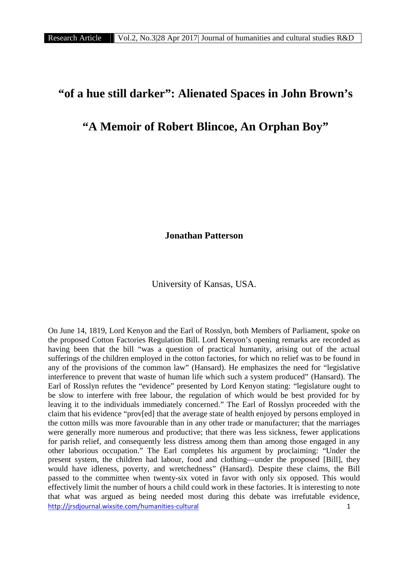## **"of a hue still darker": Alienated Spaces in John Brown's**

## **"A Memoir of Robert Blincoe, An Orphan Boy"**

**Jonathan Patterson**

University of Kansas, USA.

http://jrsdjournal.wixsite.com/humanities-cultural 1 On June 14, 1819, Lord Kenyon and the Earl of Rosslyn, both Members of Parliament, spoke on the proposed Cotton Factories Regulation Bill. Lord Kenyon's opening remarks are recorded as having been that the bill "was a question of practical humanity, arising out of the actual sufferings of the children employed in the cotton factories, for which no relief was to be found in any of the provisions of the common law" (Hansard). He emphasizes the need for "legislative interference to prevent that waste of human life which such a system produced" (Hansard). The Earl of Rosslyn refutes the "evidence" presented by Lord Kenyon stating: "legislature ought to be slow to interfere with free labour, the regulation of which would be best provided for by leaving it to the individuals immediately concerned." The Earl of Rosslyn proceeded with the claim that his evidence "prov[ed] that the average state of health enjoyed by persons employed in the cotton mills was more favourable than in any other trade or manufacturer; that the marriages were generally more numerous and productive; that there was less sickness, fewer applications for parish relief, and consequently less distress among them than among those engaged in any other laborious occupation." The Earl completes his argument by proclaiming: "Under the present system, the children had labour, food and clothing—under the proposed [Bill], they would have idleness, poverty, and wretchedness" (Hansard). Despite these claims, the Bill passed to the committee when twenty-six voted in favor with only six opposed. This would effectively limit the number of hours a child could work in these factories. It is interesting to note that what was argued as being needed most during this debate was irrefutable evidence,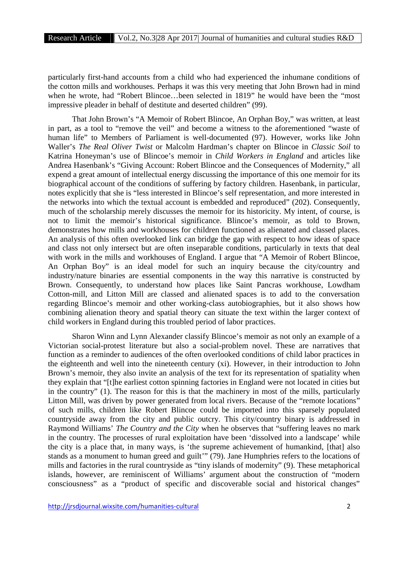particularly first-hand accounts from a child who had experienced the inhumane conditions of the cotton mills and workhouses. Perhaps it was this very meeting that John Brown had in mind when he wrote, had "Robert Blincoe…been selected in 1819" he would have been the "most impressive pleader in behalf of destitute and deserted children" (99).

That John Brown's "A Memoir of Robert Blincoe, An Orphan Boy," was written, at least in part, as a tool to "remove the veil" and become a witness to the aforementioned "waste of human life" to Members of Parliament is well-documented (97). However, works like John Waller's *The Real Oliver Twist* or Malcolm Hardman's chapter on Blincoe in *Classic Soil* to Katrina Honeyman's use of Blincoe's memoir in *Child Workers in England* and articles like Andrea Hasenbank's "Giving Account: Robert Blincoe and the Consequences of Modernity," all expend a great amount of intellectual energy discussing the importance of this one memoir for its biographical account of the conditions of suffering by factory children. Hasenbank, in particular, notes explicitly that she is "less interested in Blincoe's self representation, and more interested in the networks into which the textual account is embedded and reproduced" (202). Consequently, much of the scholarship merely discusses the memoir for its historicity. My intent, of course, is not to limit the memoir's historical significance. Blincoe's memoir, as told to Brown, demonstrates how mills and workhouses for children functioned as alienated and classed places. An analysis of this often overlooked link can bridge the gap with respect to how ideas of space and class not only intersect but are often inseparable conditions, particularly in texts that deal with work in the mills and workhouses of England. I argue that "A Memoir of Robert Blincoe, An Orphan Boy" is an ideal model for such an inquiry because the city/country and industry/nature binaries are essential components in the way this narrative is constructed by Brown. Consequently, to understand how places like Saint Pancras workhouse, Lowdham Cotton-mill, and Litton Mill are classed and alienated spaces is to add to the conversation regarding Blincoe's memoir and other working-class autobiographies, but it also shows how combining alienation theory and spatial theory can situate the text within the larger context of child workers in England during this troubled period of labor practices.

Sharon Winn and Lynn Alexander classify Blincoe's memoir as not only an example of a Victorian social-protest literature but also a social-problem novel. These are narratives that function as a reminder to audiences of the often overlooked conditions of child labor practices in the eighteenth and well into the nineteenth century (xi). However, in their introduction to John Brown's memoir, they also invite an analysis of the text for its representation of spatiality when they explain that "[t]he earliest cotton spinning factories in England were not located in cities but in the country" (1). The reason for this is that the machinery in most of the mills, particularly Litton Mill, was driven by power generated from local rivers. Because of the "remote locations" of such mills, children like Robert Blincoe could be imported into this sparsely populated countryside away from the city and public outcry. This city/country binary is addressed in Raymond Williams' *The Country and the City* when he observes that "suffering leaves no mark in the country. The processes of rural exploitation have been 'dissolved into a landscape' while the city is a place that, in many ways, is 'the supreme achievement of humankind, [that] also stands as a monument to human greed and guilt'" (79). Jane Humphries refers to the locations of mills and factories in the rural countryside as "tiny islands of modernity" (9). These metaphorical islands, however, are reminiscent of Williams' argument about the construction of "modern consciousness" as a "product of specific and discoverable social and historical changes"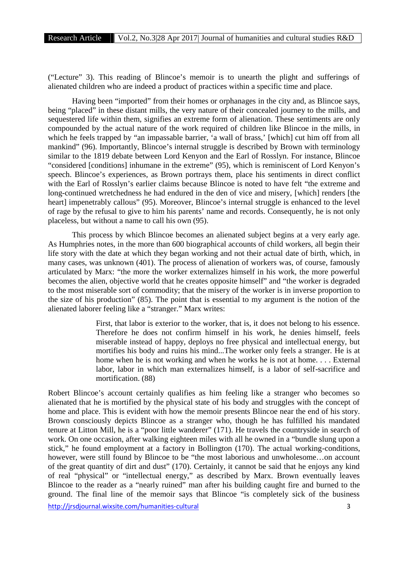("Lecture" 3). This reading of Blincoe's memoir is to unearth the plight and sufferings of alienated children who are indeed a product of practices within a specific time and place.

Having been "imported" from their homes or orphanages in the city and, as Blincoe says, being "placed" in these distant mills, the very nature of their concealed journey to the mills, and sequestered life within them, signifies an extreme form of alienation. These sentiments are only compounded by the actual nature of the work required of children like Blincoe in the mills, in which he feels trapped by "an impassable barrier, 'a wall of brass,' [which] cut him off from all mankind" (96). Importantly, Blincoe's internal struggle is described by Brown with terminology similar to the 1819 debate between Lord Kenyon and the Earl of Rosslyn. For instance, Blincoe "considered [conditions] inhumane in the extreme" (95), which is reminiscent of Lord Kenyon's speech. Blincoe's experiences, as Brown portrays them, place his sentiments in direct conflict with the Earl of Rosslyn's earlier claims because Blincoe is noted to have felt "the extreme and long-continued wretchedness he had endured in the den of vice and misery, [which] renders [the heart] impenetrably callous" (95). Moreover, Blincoe's internal struggle is enhanced to the level of rage by the refusal to give to him his parents' name and records. Consequently, he is not only placeless, but without a name to call his own (95).

This process by which Blincoe becomes an alienated subject begins at a very early age. As Humphries notes, in the more than 600 biographical accounts of child workers, all begin their life story with the date at which they began working and not their actual date of birth, which, in many cases, was unknown (401). The process of alienation of workers was, of course, famously articulated by Marx: "the more the worker externalizes himself in his work, the more powerful becomes the alien, objective world that he creates opposite himself" and "the worker is degraded to the most miserable sort of commodity; that the misery of the worker is in inverse proportion to the size of his production" (85). The point that is essential to my argument is the notion of the alienated laborer feeling like a "stranger." Marx writes:

> First, that labor is exterior to the worker, that is, it does not belong to his essence. Therefore he does not confirm himself in his work, he denies himself, feels miserable instead of happy, deploys no free physical and intellectual energy, but mortifies his body and ruins his mind...The worker only feels a stranger. He is at home when he is not working and when he works he is not at home. . . . External labor, labor in which man externalizes himself, is a labor of self-sacrifice and mortification. (88)

Robert Blincoe's account certainly qualifies as him feeling like a stranger who becomes so alienated that he is mortified by the physical state of his body and struggles with the concept of home and place. This is evident with how the memoir presents Blincoe near the end of his story. Brown consciously depicts Blincoe as a stranger who, though he has fulfilled his mandated tenure at Litton Mill, he is a "poor little wanderer" (171). He travels the countryside in search of work. On one occasion, after walking eighteen miles with all he owned in a "bundle slung upon a stick," he found employment at a factory in Bollington (170). The actual working-conditions, however, were still found by Blincoe to be "the most laborious and unwholesome…on account of the great quantity of dirt and dust" (170). Certainly, it cannot be said that he enjoys any kind of real "physical" or "intellectual energy," as described by Marx. Brown eventually leaves Blincoe to the reader as a "nearly ruined" man after his building caught fire and burned to the ground. The final line of the memoir says that Blincoe "is completely sick of the business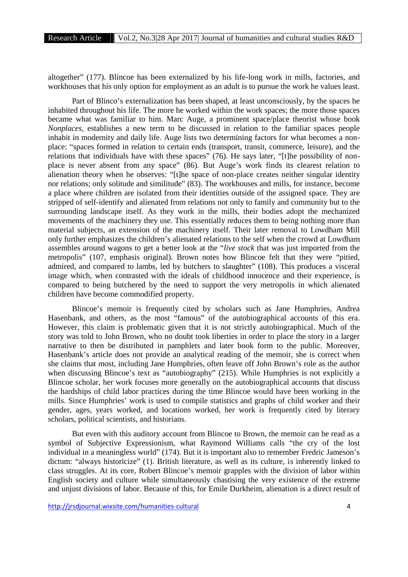altogether" (177). Blincoe has been externalized by his life-long work in mills, factories, and workhouses that his only option for employment as an adult is to pursue the work he values least.

Part of Blinco's externalization has been shaped, at least unconsciously, by the spaces he inhabited throughout his life. The more he worked within the work spaces; the more those spaces became what was familiar to him. Marc Auge, a prominent space/place theorist whose book *Nonplaces*, establishes a new term to be discussed in relation to the familiar spaces people inhabit in modernity and daily life. Auge lists two determining factors for what becomes a non place: "spaces formed in relation to certain ends (transport, transit, commerce, leisure), and the relations that individuals have with these spaces" (76). He says later, "[t]he possibility of non place is never absent from any space" (86). But Auge's work finds its clearest relation to alienation theory when he observes: "[t]he space of non-place creates neither singular identity nor relations; only solitude and similitude" (83). The workhouses and mills, for instance, become a place where children are isolated from their identities outside of the assigned space. They are stripped of self-identify and alienated from relations not only to family and community but to the surrounding landscape itself. As they work in the mills, their bodies adopt the mechanized movements of the machinery they use. This essentially reduces them to being nothing more than material subjects, an extension of the machinery itself. Their later removal to Lowdham Mill only further emphasizes the children's alienated relations to the self when the crowd at Lowdham assembles around wagons to get a better look at the "*live stock* that was just imported from the metropolis" (107, emphasis original). Brown notes how Blincoe felt that they were "pitied, admired, and compared to lambs, led by butchers to slaughter" (108). This produces a visceral image which, when contrasted with the ideals of childhood innocence and their experience, is compared to being butchered by the need to support the very metropolis in which alienated children have become commodified property.

Blincoe's memoir is frequently cited by scholars such as Jane Humphries, Andrea Hasenbank, and others, as the most "famous" of the autobiographical accounts of this era. However, this claim is problematic given that it is not strictly autobiographical. Much of the story was told to John Brown, who no doubt took liberties in order to place the story in a larger narrative to then be distributed in pamphlets and later book form to the public. Moreover, Hasenbank's article does not provide an analytical reading of the memoir, she is correct when she claims that most, including Jane Humphries, often leave off John Brown's role as the author when discussing Blincoe's text as "autobiography" (215). While Humphries is not explicitly a Blincoe scholar, her work focuses more generally on the autobiographical accounts that discuss the hardships of child labor practices during the time Blincoe would have been working in the mills. Since Humphries' work is used to compile statistics and graphs of child worker and their gender, ages, years worked, and locations worked, her work is frequently cited by literary scholars, political scientists, and historians.

But even with this auditory account from Blincoe to Brown, the memoir can be read as a symbol of Subjective Expressionism, what Raymond Williams calls "the cry of the lost individual in a meaningless world" (174). But it is important also to remember Fredric Jameson's dictum: "always historicize" (1). British literature, as well as its culture, is inherently linked to class struggles. At its core, Robert Blincoe's memoir grapples with the division of labor within English society and culture while simultaneously chastising the very existence of the extreme and unjust divisions of labor. Because of this, for Emile Durkheim, alienation is a direct result of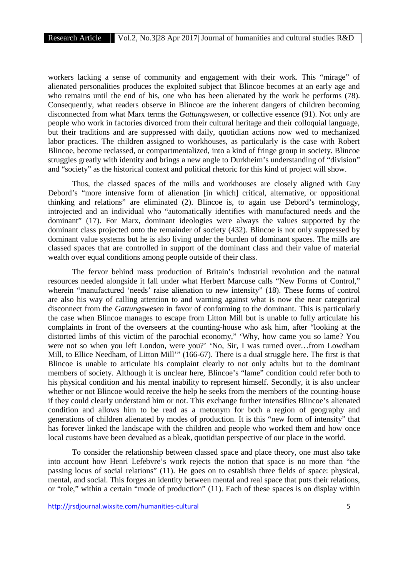workers lacking a sense of community and engagement with their work. This "mirage" of alienated personalities produces the exploited subject that Blincoe becomes at an early age and who remains until the end of his, one who has been alienated by the work he performs (78). Consequently, what readers observe in Blincoe are the inherent dangers of children becoming disconnected from what Marx terms the *Gattungswesen*, or collective essence (91). Not only are people who work in factories divorced from their cultural heritage and their colloquial language, but their traditions and are suppressed with daily, quotidian actions now wed to mechanized labor practices. The children assigned to workhouses, as particularly is the case with Robert Blincoe, become reclassed, or compartmentalized, into a kind of fringe group in society. Blincoe struggles greatly with identity and brings a new angle to Durkheim's understanding of "division" and "society" as the historical context and political rhetoric for this kind of project will show.

Thus, the classed spaces of the mills and workhouses are closely aligned with Guy Debord's "more intensive form of alienation [in which] critical, alternative, or oppositional thinking and relations" are eliminated (2). Blincoe is, to again use Debord's terminology, introjected and an individual who "automatically identifies with manufactured needs and the dominant" (17). For Marx, dominant ideologies were always the values supported by the dominant class projected onto the remainder of society (432). Blincoe is not only suppressed by dominant value systems but he is also living under the burden of dominant spaces. The mills are classed spaces that are controlled in support of the dominant class and their value of material wealth over equal conditions among people outside of their class.

The fervor behind mass production of Britain's industrial revolution and the natural resources needed alongside it fall under what Herbert Marcuse calls "New Forms of Control," wherein "manufactured 'needs' raise alienation to new intensity" (18). These forms of control are also his way of calling attention to and warning against what is now the near categorical disconnect from the *Gattungswesen* in favor of conforming to the dominant. This is particularly the case when Blincoe manages to escape from Litton Mill but is unable to fully articulate his complaints in front of the overseers at the counting-house who ask him, after "looking at the distorted limbs of this victim of the parochial economy," 'Why, how came you so lame? You were not so when you left London, were you?' 'No, Sir, I was turned over…from Lowdham Mill, to Ellice Needham, of Litton Mill'" (166-67). There is a dual struggle here. The first is that Blincoe is unable to articulate his complaint clearly to not only adults but to the dominant members of society. Although it is unclear here, Blincoe's "lame" condition could refer both to his physical condition and his mental inability to represent himself. Secondly, it is also unclear whether or not Blincoe would receive the help he seeks from the members of the counting-house if they could clearly understand him or not. This exchange further intensifies Blincoe's alienated condition and allows him to be read as a metonym for both a region of geography and generations of children alienated by modes of production. It is this "new form of intensity" that has forever linked the landscape with the children and people who worked them and how once local customs have been devalued as a bleak, quotidian perspective of our place in the world.

To consider the relationship between classed space and place theory, one must also take into account how Henri Lefebvre's work rejects the notion that space is no more than "the passing locus of social relations" (11). He goes on to establish three fields of space: physical, mental, and social. This forges an identity between mental and real space that puts their relations, or "role," within a certain "mode of production" (11). Each of these spaces is on display within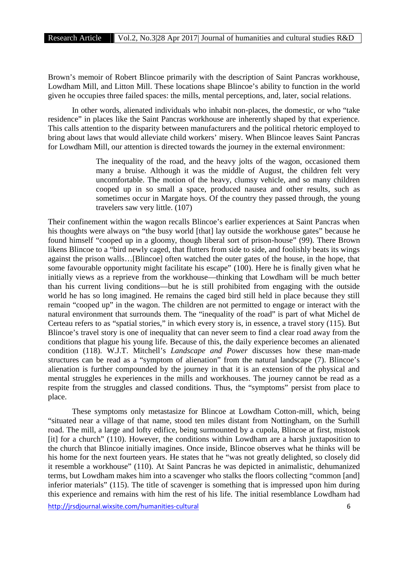Brown's memoir of Robert Blincoe primarily with the description of Saint Pancras workhouse, Lowdham Mill, and Litton Mill. These locations shape Blincoe's ability to function in the world given he occupies three failed spaces: the mills, mental perceptions, and, later, social relations.

In other words, alienated individuals who inhabit non-places, the domestic, or who "take residence" in places like the Saint Pancras workhouse are inherently shaped by that experience. This calls attention to the disparity between manufacturers and the political rhetoric employed to bring about laws that would alleviate child workers' misery. When Blincoe leaves Saint Pancras for Lowdham Mill, our attention is directed towards the journey in the external environment:

> The inequality of the road, and the heavy jolts of the wagon, occasioned them many a bruise. Although it was the middle of August, the children felt very uncomfortable. The motion of the heavy, clumsy vehicle, and so many children cooped up in so small a space, produced nausea and other results, such as sometimes occur in Margate hoys. Of the country they passed through, the young travelers saw very little. (107)

Their confinement within the wagon recalls Blincoe's earlier experiences at Saint Pancras when his thoughts were always on "the busy world [that] lay outside the workhouse gates" because he found himself "cooped up in a gloomy, though liberal sort of prison-house" (99). There Brown likens Blincoe to a "bird newly caged, that flutters from side to side, and foolishly beats its wings against the prison walls…[Blincoe] often watched the outer gates of the house, in the hope, that some favourable opportunity might facilitate his escape" (100). Here he is finally given what he initially views as a reprieve from the workhouse—thinking that Lowdham will be much better than his current living conditions—but he is still prohibited from engaging with the outside world he has so long imagined. He remains the caged bird still held in place because they still remain "cooped up" in the wagon. The children are not permitted to engage or interact with the natural environment that surrounds them. The "inequality of the road" is part of what Michel de Certeau refers to as "spatial stories," in which every story is, in essence, a travel story (115). But Blincoe's travel story is one of inequality that can never seem to find a clear road away from the conditions that plague his young life. Because of this, the daily experience becomes an alienated condition (118). W.J.T. Mitchell's *Landscape and Power* discusses how these man-made structures can be read as a "symptom of alienation" from the natural landscape (7). Blincoe's alienation is further compounded by the journey in that it is an extension of the physical and mental struggles he experiences in the mills and workhouses. The journey cannot be read as a respite from the struggles and classed conditions. Thus, the "symptoms" persist from place to place.

These symptoms only metastasize for Blincoe at Lowdham Cotton-mill, which, being "situated near a village of that name, stood ten miles distant from Nottingham, on the Surhill road. The mill, a large and lofty edifice, being surmounted by a cupola, Blincoe at first, mistook [it] for a church" (110). However, the conditions within Lowdham are a harsh juxtaposition to the church that Blincoe initially imagines. Once inside, Blincoe observes what he thinks will be his home for the next fourteen years. He states that he "was not greatly delighted, so closely did it resemble a workhouse" (110). At Saint Pancras he was depicted in animalistic, dehumanized terms, but Lowdham makes him into a scavenger who stalks the floors collecting "common [and] inferior materials" (115). The title of scavenger is something that is impressed upon him during this experience and remains with him the rest of his life. The initial resemblance Lowdham had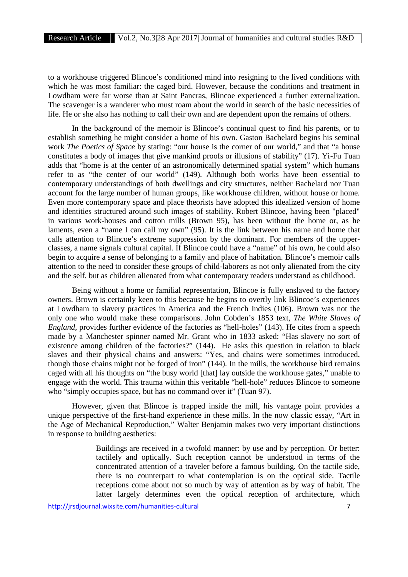to a workhouse triggered Blincoe's conditioned mind into resigning to the lived conditions with which he was most familiar: the caged bird. However, because the conditions and treatment in Lowdham were far worse than at Saint Pancras, Blincoe experienced a further externalization. The scavenger is a wanderer who must roam about the world in search of the basic necessities of life. He or she also has nothing to call their own and are dependent upon the remains of others.

In the background of the memoir is Blincoe's continual quest to find his parents, or to establish something he might consider a home of his own. Gaston Bachelard begins his seminal work *The Poetics of Space* by stating: "our house is the corner of our world," and that "a house constitutes a body of images that give mankind proofs or illusions of stability" (17). Yi-Fu Tuan adds that "home is at the center of an astronomically determined spatial system" which humans refer to as "the center of our world" (149). Although both works have been essential to contemporary understandings of both dwellings and city structures, neither Bachelard nor Tuan account for the large number of human groups, like workhouse children, without house or home. Even more contemporary space and place theorists have adopted this idealized version of home and identities structured around such images of stability. Robert Blincoe, having been "placed" in various work-houses and cotton mills (Brown 95), has been without the home or, as he laments, even a "name I can call my own" (95). It is the link between his name and home that calls attention to Blincoe's extreme suppression by the dominant. For members of the upper classes, a name signals cultural capital. If Blincoe could have a "name" of his own, he could also begin to acquire a sense of belonging to a family and place of habitation. Blincoe's memoir calls attention to the need to consider these groups of child-laborers as not only alienated from the city and the self, but as children alienated from what contemporary readers understand as childhood.

Being without a home or familial representation, Blincoe is fully enslaved to the factory owners. Brown is certainly keen to this because he begins to overtly link Blincoe's experiences at Lowdham to slavery practices in America and the French Indies (106). Brown was not the only one who would make these comparisons. John Cobden's 1853 text, *The White Slaves of England*, provides further evidence of the factories as "hell-holes" (143). He cites from a speech made by a Manchester spinner named Mr. Grant who in 1833 asked: "Has slavery no sort of existence among children of the factories?" (144). He asks this question in relation to black slaves and their physical chains and answers: "Yes, and chains were sometimes introduced, though those chains might not be forged of iron" (144). In the mills, the workhouse bird remains caged with all his thoughts on "the busy world [that] lay outside the workhouse gates," unable to engage with the world. This trauma within this veritable "hell-hole" reduces Blincoe to someone who "simply occupies space, but has no command over it" (Tuan 97).

However, given that Blincoe is trapped inside the mill, his vantage point provides a unique perspective of the first-hand experience in these mills. In the now classic essay, "Art in the Age of Mechanical Reproduction," Walter Benjamin makes two very important distinctions in response to building aesthetics:

> Buildings are received in a twofold manner: by use and by perception. Or better: tactilely and optically. Such reception cannot be understood in terms of the concentrated attention of a traveler before a famous building. On the tactile side, there is no counterpart to what contemplation is on the optical side. Tactile receptions come about not so much by way of attention as by way of habit. The latter largely determines even the optical reception of architecture, which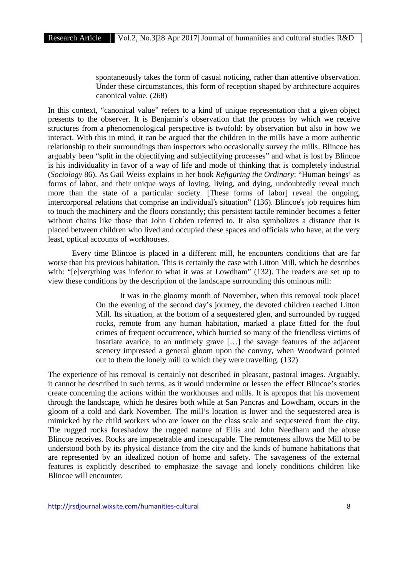spontaneously takes the form of casual noticing, rather than attentive observation. Under these circumstances, this form of reception shaped by architecture acquires canonical value. (268)

In this context, "canonical value" refers to a kind of unique representation that a given object presents to the observer. It is Benjamin's observation that the process by which we receive structures from a phenomenological perspective is twofold: by observation but also in how we interact. With this in mind, it can be argued that the children in the mills have a more authentic relationship to their surroundings than inspectors who occasionally survey the mills. Blincoe has arguably been "split in the objectifying and subjectifying processes" and what is lost by Blincoe is his individuality in favor of a way of life and mode of thinking that is completely industrial (*Sociology* 86). As Gail Weiss explains in her book *Refiguring the Ordinary*: "Human beings' as forms of labor, and their unique ways of loving, living, and dying, undoubtedly reveal much more than the state of a particular society. [These forms of labor] reveal the ongoing, intercorporeal relations that comprise an individual's situation" (136). Blincoe's job requires him to touch the machinery and the floors constantly; this persistent tactile reminder becomes a fetter without chains like those that John Cobden referred to. It also symbolizes a distance that is placed between children who lived and occupied these spaces and officials who have, at the very least, optical accounts of workhouses.

Every time Blincoe is placed in a different mill, he encounters conditions that are far worse than his previous habitation. This is certainly the case with Litton Mill, which he describes with: "[e]verything was inferior to what it was at Lowdham" (132). The readers are set up to view these conditions by the description of the landscape surrounding this ominous mill:

> It was in the gloomy month of November, when this removal took place! On the evening of the second day's journey, the devoted children reached Litton Mill. Its situation, at the bottom of a sequestered glen, and surrounded by rugged rocks, remote from any human habitation, marked a place fitted for the foul crimes of frequent occurrence, which hurried so many of the friendless victims of insatiate avarice, to an untimely grave […] the savage features of the adjacent scenery impressed a general gloom upon the convoy, when Woodward pointed out to them the lonely mill to which they were travelling. (132)

The experience of his removal is certainly not described in pleasant, pastoral images. Arguably, it cannot be described in such terms, as it would undermine or lessen the effect Blincoe's stories create concerning the actions within the workhouses and mills. It is apropos that his movement through the landscape, which he desires both while at San Pancras and Lowdham, occurs in the gloom of a cold and dark November. The mill's location is lower and the sequestered area is mimicked by the child workers who are lower on the class scale and sequestered from the city. The rugged rocks foreshadow the rugged nature of Ellis and John Needham and the abuse Blincoe receives. Rocks are impenetrable and inescapable. The remoteness allows the Mill to be understood both by its physical distance from the city and the kinds of humane habitations that are represented by an idealized notion of home and safety. The savageness of the external features is explicitly described to emphasize the savage and lonely conditions children like Blincoe will encounter.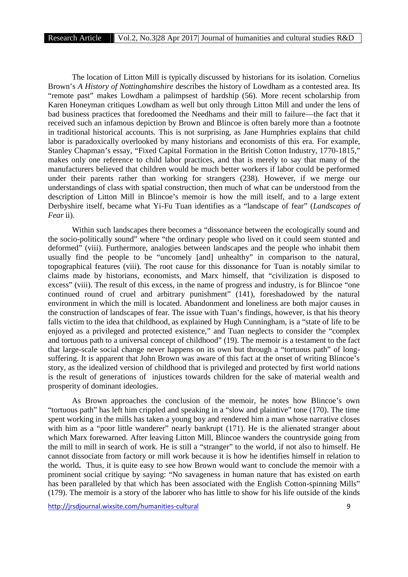The location of Litton Mill is typically discussed by historians for its isolation. Cornelius Brown's *A History of Nottinghamshire* describes the history of Lowdham as a contested area. Its "remote past" makes Lowdham a palimpsest of hardship (56). More recent scholarship from Karen Honeyman critiques Lowdham as well but only through Litton Mill and under the lens of bad business practices that foredoomed the Needhams and their mill to failure—the fact that it received such an infamous depiction by Brown and Blincoe is often barely more than a footnote in traditional historical accounts. This is not surprising, as Jane Humphries explains that child labor is paradoxically overlooked by many historians and economists of this era. For example, Stanley Chapman's essay, "Fixed Capital Formation in the British Cotton Industry, 1770-1815," makes only one reference to child labor practices, and that is merely to say that many of the manufacturers believed that children would be much better workers if labor could be performed under their parents rather than working for strangers (238). However, if we merge our understandings of class with spatial construction, then much of what can be understood from the description of Litton Mill in Blincoe's memoir is how the mill itself, and to a large extent Derbyshire itself, became what Yi-Fu Tuan identifies as a "landscape of fear" (*Landscapes of Fear* ii).

Within such landscapes there becomes a "dissonance between the ecologically sound and the socio-politically sound" where "the ordinary people who lived on it could seem stunted and deformed" (viii). Furthermore, analogies between landscapes and the people who inhabit them usually find the people to be "uncomely [and] unhealthy" in comparison to the natural, topographical features (viii). The root cause for this dissonance for Tuan is notably similar to claims made by historians, economists, and Marx himself, that "civilization is disposed to excess" (viii). The result of this excess, in the name of progress and industry, is for Blincoe "one continued round of cruel and arbitrary punishment" (141), foreshadowed by the natural environment in which the mill is located. Abandonment and loneliness are both major causes in the construction of landscapes of fear. The issue with Tuan's findings, however, is that his theory falls victim to the idea that childhood, as explained by Hugh Cunningham, is a "state of life to be enjoyed as a privileged and protected existence," and Tuan neglects to consider the "complex and tortuous path to a universal concept of childhood" (19). The memoir is a testament to the fact that large-scale social change never happens on its own but through a "tortuous path" of long suffering. It is apparent that John Brown was aware of this fact at the onset of writing Blincoe's story, as the idealized version of childhood that is privileged and protected by first world nations is the result of generations of injustices towards children for the sake of material wealth and prosperity of dominant ideologies.

As Brown approaches the conclusion of the memoir, he notes how Blincoe's own "tortuous path" has left him crippled and speaking in a "slow and plaintive" tone (170). The time spent working in the mills has taken a young boy and rendered him a man whose narrative closes with him as a "poor little wanderer" nearly bankrupt (171). He is the alienated stranger about which Marx forewarned. After leaving Litton Mill, Blincoe wanders the countryside going from the mill to mill in search of work. He is still a "stranger" to the world, if not also to himself. He cannot dissociate from factory or mill work because it is how he identifies himself in relation to the world**.** Thus, it is quite easy to see how Brown would want to conclude the memoir with a prominent social critique by saying: "No savageness in human nature that has existed on earth has been paralleled by that which has been associated with the English Cotton-spinning Mills" (179). The memoir is a story of the laborer who has little to show for his life outside of the kinds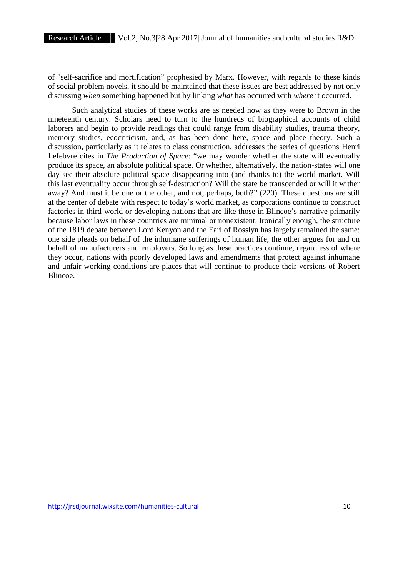of "self-sacrifice and mortification" prophesied by Marx. However, with regards to these kinds of social problem novels, it should be maintained that these issues are best addressed by not only discussing *when* something happened but by linking *what* has occurred with *where* it occurred.

Such analytical studies of these works are as needed now as they were to Brown in the nineteenth century. Scholars need to turn to the hundreds of biographical accounts of child laborers and begin to provide readings that could range from disability studies, trauma theory, memory studies, ecocriticism, and, as has been done here, space and place theory. Such a discussion, particularly as it relates to class construction, addresses the series of questions Henri Lefebvre cites in *The Production of Space*: "we may wonder whether the state will eventually produce its space, an absolute political space. Or whether, alternatively, the nation-states will one day see their absolute political space disappearing into (and thanks to) the world market. Will this last eventuality occur through self-destruction? Will the state be transcended or will it wither away? And must it be one or the other, and not, perhaps, both?" (220). These questions are still at the center of debate with respect to today's world market, as corporations continue to construct factories in third-world or developing nations that are like those in Blincoe's narrative primarily because labor laws in these countries are minimal or nonexistent. Ironically enough, the structure of the 1819 debate between Lord Kenyon and the Earl of Rosslyn has largely remained the same: one side pleads on behalf of the inhumane sufferings of human life, the other argues for and on behalf of manufacturers and employers. So long as these practices continue, regardless of where they occur, nations with poorly developed laws and amendments that protect against inhumane and unfair working conditions are places that will continue to produce their versions of Robert Blincoe.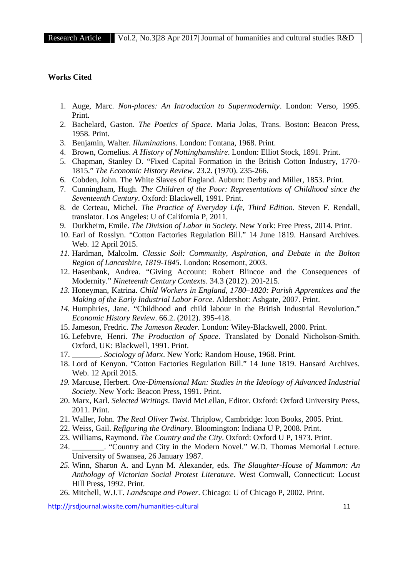## **Works Cited**

- 1. Auge, Marc. *Non-places: An Introduction to Supermodernity*. London: Verso, 1995. Print.
- 2. Bachelard, Gaston. *The Poetics of Space*. Maria Jolas, Trans. Boston: Beacon Press, 1958. Print.
- 3. Benjamin, Walter. *Illuminations*. London: Fontana, 1968. Print.
- 4. Brown, Cornelius. *A History of Nottinghamshire*. London: Elliot Stock, 1891. Print.
- 5. Chapman, Stanley D. "Fixed Capital Formation in the British Cotton Industry, 1770- 1815." *The Economic History Review*. 23.2. (1970). 235-266.
- 6. Cobden, John. The White Slaves of England. Auburn: Derby and Miller, 1853. Print.
- 7. Cunningham, Hugh. *The Children of the Poor: Representations of Childhood since the Seventeenth Century*. Oxford: Blackwell, 1991. Print.
- 8. de Certeau, Michel. *The Practice of Everyday Life, Third Edition*. Steven F. Rendall, translator. Los Angeles: U of California P, 2011.
- 9. Durkheim, Emile. *The Division of Labor in Society*. New York: Free Press, 2014. Print.
- 10. Earl of Rosslyn. "Cotton Factories Regulation Bill." 14 June 1819. Hansard Archives. Web. 12 April 2015.
- *11.* Hardman, Malcolm. *Classic Soil: Community, Aspiration, and Debate in the Bolton Region of Lancashire, 1819-1845*. London: Rosemont, 2003.
- 12. Hasenbank, Andrea. "Giving Account: Robert Blincoe and the Consequences of Modernity." *Nineteenth Century Contexts*. 34.3 (2012). 201-215.
- *13.* Honeyman, Katrina. *Child Workers in England, 1780–1820: Parish Apprentices and the Making of the Early Industrial Labor Force.* Aldershot: Ashgate, 2007. Print.
- *14.* Humphries, Jane. "Childhood and child labour in the British Industrial Revolution." *Economic History Review*. 66.2. (2012). 395-418.
- 15. Jameson, Fredric. *The Jameson Reader*. London: Wiley-Blackwell, 2000. Print.
- 16. Lefebvre, Henri. *The Production of Space*. Translated by Donald Nicholson-Smith. Oxford, UK: Blackwell, 1991. Print.
- 17. \_\_\_\_\_\_\_. *Sociology of Marx*. New York: Random House, 1968. Print.
- 18. Lord of Kenyon. "Cotton Factories Regulation Bill." 14 June 1819. Hansard Archives. Web. 12 April 2015.
- *19.* Marcuse, Herbert. *One-Dimensional Man: Studies in the Ideology of Advanced Industrial Society*. New York: Beacon Press, 1991. Print.
- 20. Marx, Karl. *Selected Writings*. David McLellan, Editor. Oxford: Oxford University Press, 2011. Print.
- 21. Waller, John. *The Real Oliver Twist*. Thriplow, Cambridge: Icon Books, 2005. Print.
- 22. Weiss, Gail. *Refiguring the Ordinary*. Bloomington: Indiana U P, 2008. Print.
- 23. Williams, Raymond. *The Country and the City*. Oxford: Oxford U P, 1973. Print.
- 24. \_\_\_\_\_\_\_\_. "Country and City in the Modern Novel." W.D. Thomas Memorial Lecture. University of Swansea, 26 January 1987.
- *25.* Winn, Sharon A. and Lynn M. Alexander, eds. *The Slaughter-House of Mammon: An Anthology of Victorian Social Protest Literature*. West Cornwall, Connecticut: Locust Hill Press, 1992. Print.
- 26. Mitchell, W.J.T. *Landscape and Power*. Chicago: U of Chicago P, 2002. Print.